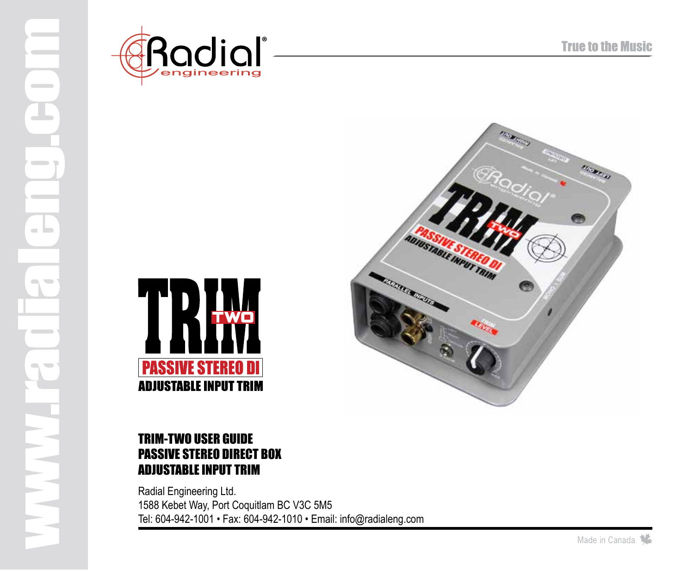

 $\sim$ 

 $\blacksquare$ 

a la

 $\sim$   $\sim$ 

 $\sim$  $\overline{\phantom{a}}$ 





# TRIM-TWO user guide PASSIVE STEREO DIRECT BOX ADJUSTABLE INPUT TRIM

Radial Engineering Ltd. 1588 Kebet Way, Port Coquitlam BC V3C 5M5 Tel: 604-942-1001 • Fax: 604-942-1010 • Email: info@radialeng.com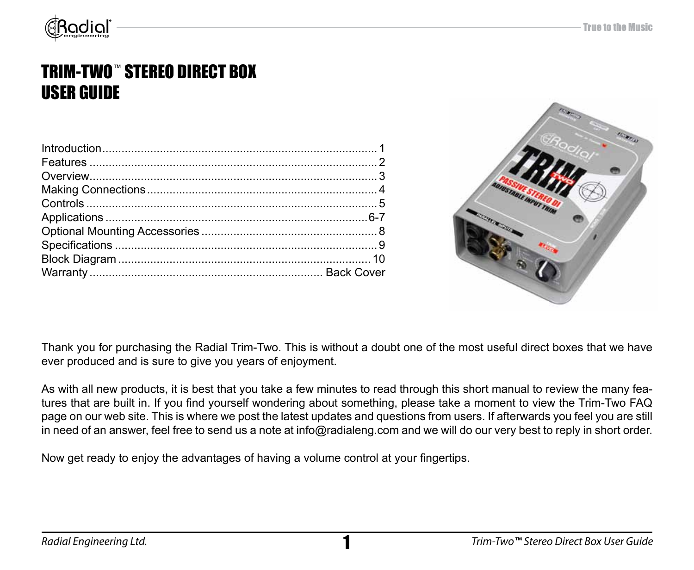

# TRIM-TWO™ STEREO DIRECT BOX USER GUIDE



Thank you for purchasing the Radial Trim-Two. This is without a doubt one of the most useful direct boxes that we have ever produced and is sure to give you years of enjoyment.

As with all new products, it is best that you take a few minutes to read through this short manual to review the many features that are built in. If you find yourself wondering about something, please take a moment to view the Trim-Two FAQ page on our web site. This is where we post the latest updates and questions from users. If afterwards you feel you are still in need of an answer, feel free to send us a note at info@radialeng.com and we will do our very best to reply in short order.

Now get ready to enjoy the advantages of having a volume control at your fingertips.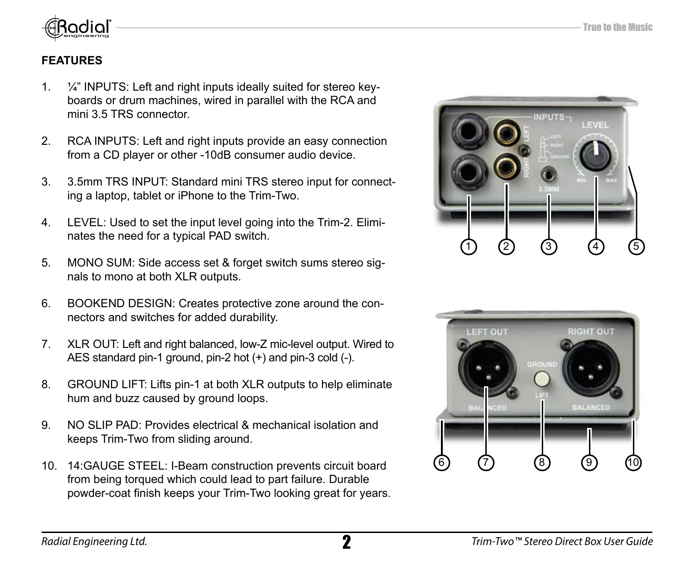

# **FEATURES**

- 1. ¼" INPUTS: Left and right inputs ideally suited for stereo keyboards or drum machines, wired in parallel with the RCA and mini 3.5 TRS connector.
- 2. RCA INPUTS: Left and right inputs provide an easy connection from a CD player or other -10dB consumer audio device.
- 3. 3.5mm TRS INPUT: Standard mini TRS stereo input for connecting a laptop, tablet or iPhone to the Trim-Two.
- 4. LEVEL: Used to set the input level going into the Trim-2. Eliminates the need for a typical PAD switch.
- 5. MONO SUM: Side access set & forget switch sums stereo signals to mono at both XLR outputs.
- 6. BOOKEND DESIGN: Creates protective zone around the connectors and switches for added durability.
- 7. XLR OUT: Left and right balanced, low-Z mic-level output. Wired to AES standard pin-1 ground, pin-2 hot (+) and pin-3 cold (-).
- 8. GROUND LIFT: Lifts pin-1 at both XLR outputs to help eliminate hum and buzz caused by ground loops.
- 9. NO SLIP PAD: Provides electrical & mechanical isolation and keeps Trim-Two from sliding around.
- 10. 14:GAUGE STEEL: I-Beam construction prevents circuit board from being torqued which could lead to part failure. Durable powder-coat finish keeps your Trim-Two looking great for years.



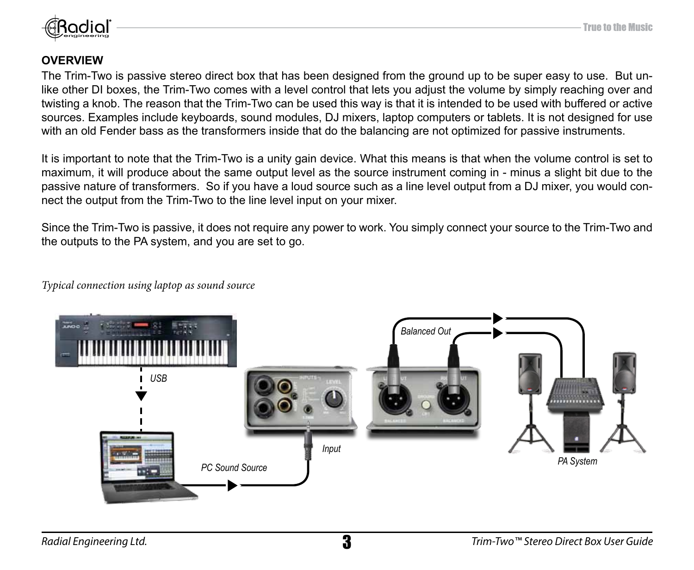

### **OVERVIEW**

The Trim-Two is passive stereo direct box that has been designed from the ground up to be super easy to use. But unlike other DI boxes, the Trim-Two comes with a level control that lets you adjust the volume by simply reaching over and twisting a knob. The reason that the Trim-Two can be used this way is that it is intended to be used with buffered or active sources. Examples include keyboards, sound modules, DJ mixers, laptop computers or tablets. It is not designed for use with an old Fender bass as the transformers inside that do the balancing are not optimized for passive instruments.

It is important to note that the Trim-Two is a unity gain device. What this means is that when the volume control is set to maximum, it will produce about the same output level as the source instrument coming in - minus a slight bit due to the passive nature of transformers. So if you have a loud source such as a line level output from a DJ mixer, you would connect the output from the Trim-Two to the line level input on your mixer.

Since the Trim-Two is passive, it does not require any power to work. You simply connect your source to the Trim-Two and the outputs to the PA system, and you are set to go.

*Typical connection using laptop as sound source*

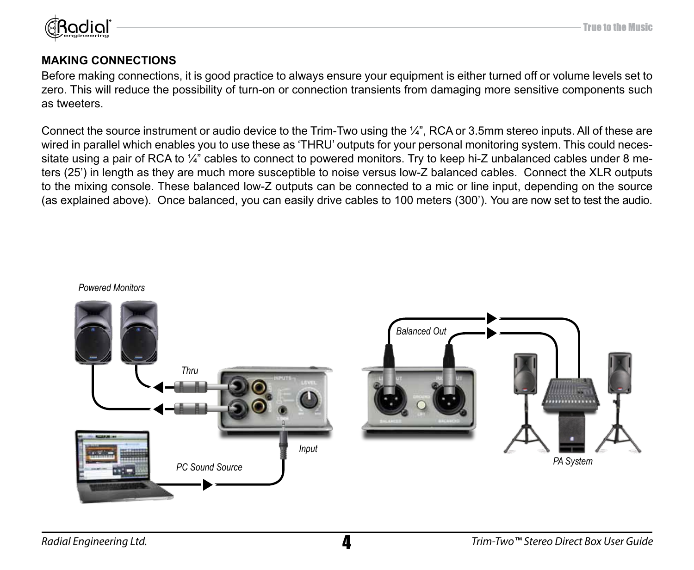

### **MAKING CONNECTIONS**

Before making connections, it is good practice to always ensure your equipment is either turned off or volume levels set to zero. This will reduce the possibility of turn-on or connection transients from damaging more sensitive components such as tweeters.

Connect the source instrument or audio device to the Trim-Two using the ¼", RCA or 3.5mm stereo inputs. All of these are wired in parallel which enables you to use these as 'THRU' outputs for your personal monitoring system. This could necessitate using a pair of RCA to ¼" cables to connect to powered monitors. Try to keep hi-Z unbalanced cables under 8 meters (25') in length as they are much more susceptible to noise versus low-Z balanced cables. Connect the XLR outputs to the mixing console. These balanced low-Z outputs can be connected to a mic or line input, depending on the source (as explained above). Once balanced, you can easily drive cables to 100 meters (300'). You are now set to test the audio.



*Powered Monitors*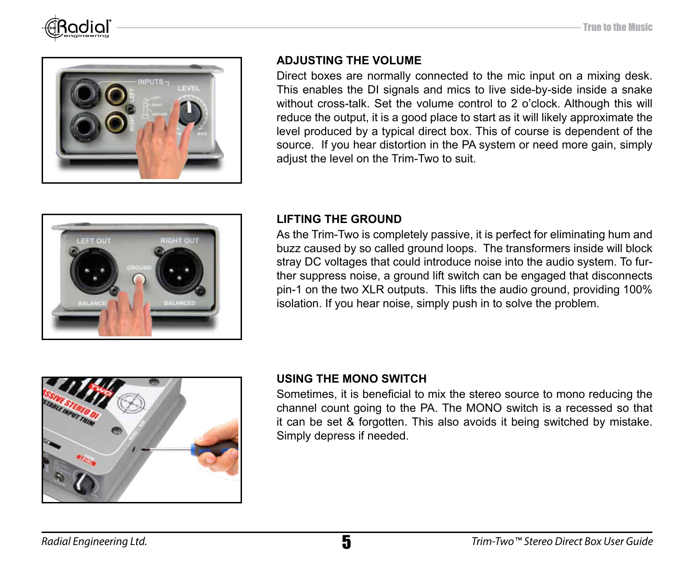



### **ADJUSTING THE VOLUME**

Direct boxes are normally connected to the mic input on a mixing desk. This enables the DI signals and mics to live side-by-side inside a snake without cross-talk. Set the volume control to 2 o'clock. Although this will reduce the output, it is a good place to start as it will likely approximate the level produced by a typical direct box. This of course is dependent of the source. If you hear distortion in the PA system or need more gain, simply adiust the level on the Trim-Two to suit.



### **LIFTING THE GROUND**

As the Trim-Two is completely passive, it is perfect for eliminating hum and buzz caused by so called ground loops. The transformers inside will block stray DC voltages that could introduce noise into the audio system. To further suppress noise, a ground lift switch can be engaged that disconnects pin-1 on the two XLR outputs. This lifts the audio ground, providing 100% isolation. If you hear noise, simply push in to solve the problem.



### **USING THE MONO SWITCH**

Sometimes, it is beneficial to mix the stereo source to mono reducing the channel count going to the PA. The MONO switch is a recessed so that it can be set & forgotten. This also avoids it being switched by mistake. Simply depress if needed.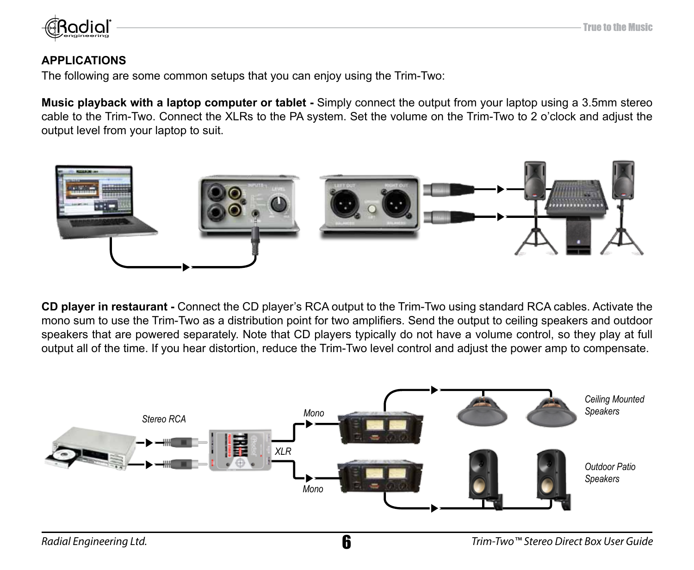

### **APPLICATIONS**

The following are some common setups that you can enjoy using the Trim-Two:

**Music playback with a laptop computer or tablet -** Simply connect the output from your laptop using a 3.5mm stereo cable to the Trim-Two. Connect the XLRs to the PA system. Set the volume on the Trim-Two to 2 o'clock and adjust the output level from your laptop to suit.



**CD player in restaurant -** Connect the CD player's RCA output to the Trim-Two using standard RCA cables. Activate the mono sum to use the Trim-Two as a distribution point for two amplifiers. Send the output to ceiling speakers and outdoor speakers that are powered separately. Note that CD players typically do not have a volume control, so they play at full output all of the time. If you hear distortion, reduce the Trim-Two level control and adjust the power amp to compensate.

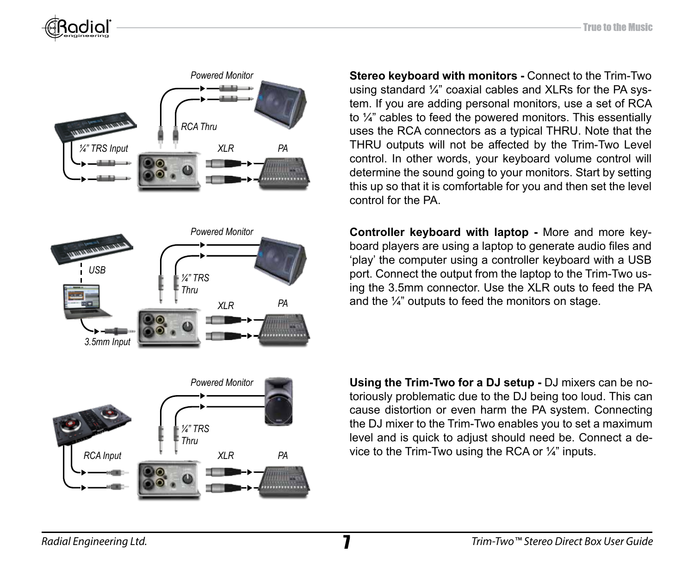



**Stereo keyboard with monitors - Connect to the Trim-Two** using standard ¼" coaxial cables and XLRs for the PA system. If you are adding personal monitors, use a set of RCA to ¼" cables to feed the powered monitors. This essentially uses the RCA connectors as a typical THRU. Note that the THRU outputs will not be affected by the Trim-Two Level control. In other words, your keyboard volume control will determine the sound going to your monitors. Start by setting this up so that it is comfortable for you and then set the level control for the PA.

**Controller keyboard with laptop -** More and more keyboard players are using a laptop to generate audio files and 'play' the computer using a controller keyboard with a USB port. Connect the output from the laptop to the Trim-Two using the 3.5mm connector. Use the XLR outs to feed the PA and the ¼" outputs to feed the monitors on stage.

**Using the Trim-Two for a DJ setup -** DJ mixers can be notoriously problematic due to the DJ being too loud. This can cause distortion or even harm the PA system. Connecting the DJ mixer to the Trim-Two enables you to set a maximum level and is quick to adjust should need be. Connect a device to the Trim-Two using the RCA or ¼" inputs.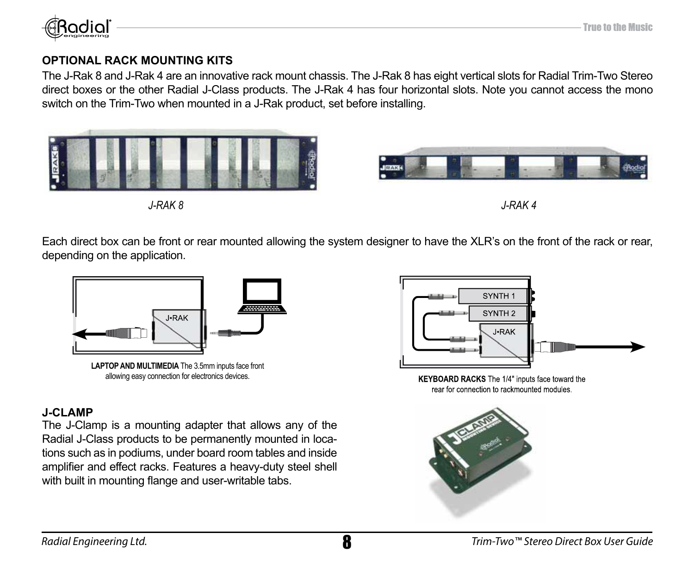

### **OPTIONAL RACK MOUNTING KITS**

The J-Rak 8 and J-Rak 4 are an innovative rack mount chassis. The J-Rak 8 has eight vertical slots for Radial Trim-Two Stereo direct boxes or the other Radial J-Class products. The J-Rak 4 has four horizontal slots. Note you cannot access the mono switch on the Trim-Two when mounted in a J-Rak product, set before installing.



Each direct box can be front or rear mounted allowing the system designer to have the XLR's on the front of the rack or rear, depending on the application.



**LAPTOP AND MULTIMEDIA** The 3.5mm inputs face front allowing easy connection for electronics devices.

## **J-CLAMP**

The J-Clamp is a mounting adapter that allows any of the Radial J-Class products to be permanently mounted in locations such as in podiums, under board room tables and inside amplifier and effect racks. Features a heavy-duty steel shell with built in mounting flange and user-writable tabs.



KEYBOARD RACKS The 1/4" inputs face toward the rear for connection to rackmounted modules.

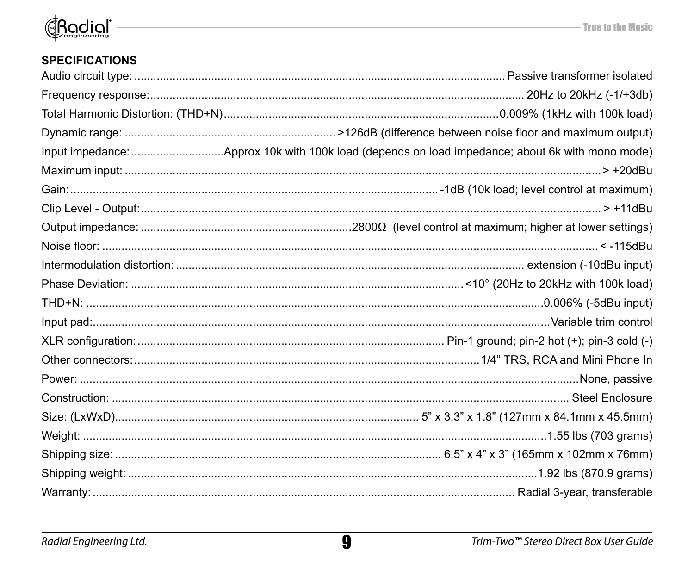

# **SPECIFICATIONS**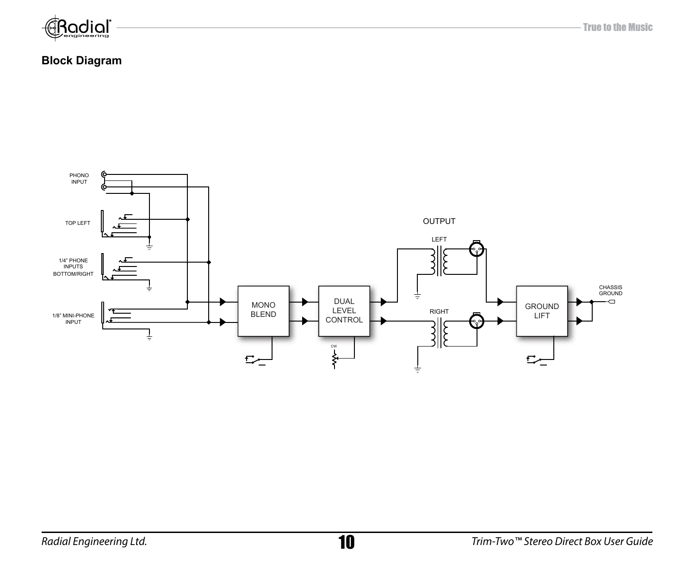

### **Block Diagram**